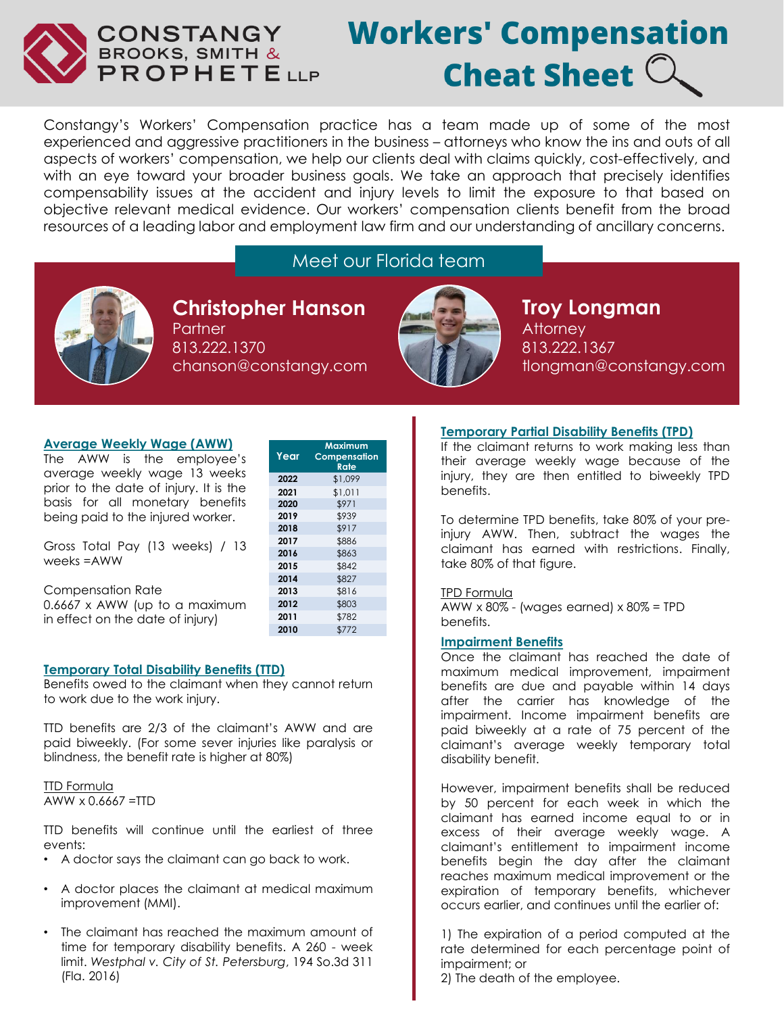

# **Workers' Compensation Cheat Sheet**  $\mathbb C$

Constangy's Workers' Compensation practice has a team made up of some of the most experienced and aggressive practitioners in the business – attorneys who know the ins and outs of all aspects of workers' compensation, we help our clients deal with claims quickly, cost-effectively, and with an eye toward your broader business goals. We take an approach that precisely identifies compensability issues at the accident and injury levels to limit the exposure to that based on objective relevant medical evidence. Our workers' compensation clients benefit from the broad resources of a leading labor and employment law firm and our understanding of ancillary concerns.

# Meet our Florida team



**Christopher Hanson** Partner 813.222.1370 chanson@constangy.com

**Year**

**Maximum Compensation Rate**

**2022** \$1,099 **2021** \$1,011 **2020** \$971 **2019** \$939 **2018** \$917 **2017** \$886 **2016** \$863 **2015** \$842 **2014** \$827 **2013** \$816 **2012** \$803 **2011** \$782 **2010** \$772



**Troy Longman Attorney** 813.222.1367 tlongman@constangy.com

## **Average Weekly Wage (AWW)**

The AWW is the employee's average weekly wage 13 weeks prior to the date of injury. It is the basis for all monetary benefits being paid to the injured worker.

Gross Total Pay (13 weeks) / 13 weeks =AWW

| <b>Compensation Rate</b>         |
|----------------------------------|
| $0.6667$ x AWW (up to a maximum  |
| in effect on the date of injury) |

## **Temporary Total Disability Benefits (TTD)**

Benefits owed to the claimant when they cannot return to work due to the work injury.

TTD benefits are 2/3 of the claimant's AWW and are paid biweekly. (For some sever injuries like paralysis or blindness, the benefit rate is higher at 80%)

## **TTD Formula** AWW x 0.6667 =TTD

TTD benefits will continue until the earliest of three events:

- A doctor says the claimant can go back to work.
- A doctor places the claimant at medical maximum improvement (MMI).
- The claimant has reached the maximum amount of time for temporary disability benefits. A 260 - week limit. *Westphal v. City of St. Petersburg*, 194 So.3d 311 (Fla. 2016)

## **Temporary Partial Disability Benefits (TPD)**

If the claimant returns to work making less than their average weekly wage because of the injury, they are then entitled to biweekly TPD benefits.

To determine TPD benefits, take 80% of your preinjury AWW. Then, subtract the wages the claimant has earned with restrictions. Finally, take 80% of that figure.

#### TPD Formula

AWW  $\times$  80% - (wages earned)  $\times$  80% = TPD benefits.

## **Impairment Benefits**

Once the claimant has reached the date of maximum medical improvement, impairment benefits are due and payable within 14 days after the carrier has knowledge of the impairment. Income impairment benefits are paid biweekly at a rate of 75 percent of the claimant's average weekly temporary total disability benefit.

However, impairment benefits shall be reduced by 50 percent for each week in which the claimant has earned income equal to or in excess of their average weekly wage. A claimant's entitlement to impairment income benefits begin the day after the claimant reaches maximum medical improvement or the expiration of temporary benefits, whichever occurs earlier, and continues until the earlier of:

1) The expiration of a period computed at the rate determined for each percentage point of impairment; or

2) The death of the employee.